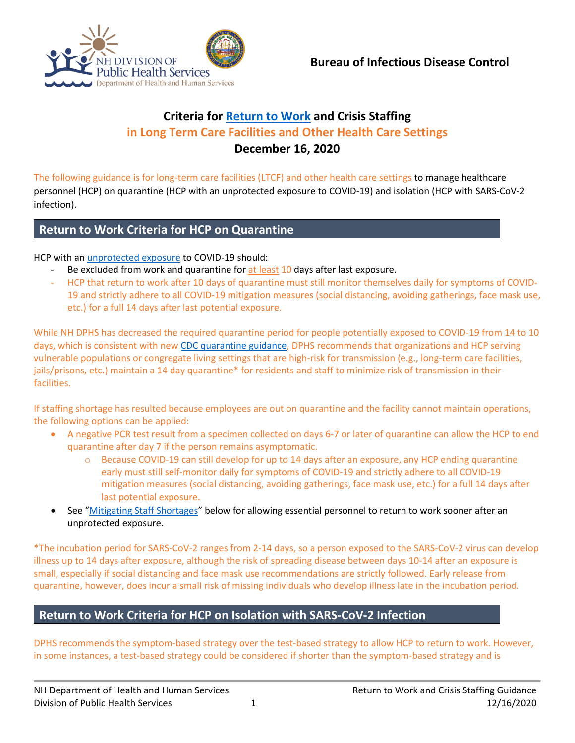

# **Criteria for [Return to Work](https://www.cdc.gov/coronavirus/2019-ncov/hcp/return-to-work.html?CDC_AA_refVal=https%3A%2F%2Fwww.cdc.gov%2Fcoronavirus%2F2019-ncov%2Fhealthcare-facilities%2Fhcp-return-work.html) and Crisis Staffing in Long Term Care Facilities and Other Health Care Settings December 16, 2020**

The following guidance is for long-term care facilities (LTCF) and other health care settings to manage healthcare personnel (HCP) on quarantine (HCP with an unprotected exposure to COVID-19) and isolation (HCP with SARS-CoV-2 infection).

### **Return to Work Criteria for HCP on Quarantine**

HCP with an [unprotected exposure](https://www.cdc.gov/coronavirus/2019-ncov/hcp/guidance-risk-assesment-hcp.html) to COVID-19 should:

- Be excluded from work and quarantine for at least 10 days after last exposure.
- HCP that return to work after 10 days of quarantine must still monitor themselves daily for symptoms of COVID-19 and strictly adhere to all COVID-19 mitigation measures (social distancing, avoiding gatherings, face mask use, etc.) for a full 14 days after last potential exposure.

While NH DPHS has decreased the required quarantine period for people potentially exposed to COVID-19 from 14 to 10 days, which is consistent with new [CDC quarantine guidance,](https://www.cdc.gov/coronavirus/2019-ncov/more/scientific-brief-options-to-reduce-quarantine.html) DPHS recommends that organizations and HCP serving vulnerable populations or congregate living settings that are high-risk for transmission (e.g., long-term care facilities, jails/prisons, etc.) maintain a 14 day quarantine\* for residents and staff to minimize risk of transmission in their facilities.

If staffing shortage has resulted because employees are out on quarantine and the facility cannot maintain operations, the following options can be applied:

- A negative PCR test result from a specimen collected on days 6-7 or later of quarantine can allow the HCP to end quarantine after day 7 if the person remains asymptomatic.
	- o Because COVID-19 can still develop for up to 14 days after an exposure, any HCP ending quarantine early must still self-monitor daily for symptoms of COVID-19 and strictly adhere to all COVID-19 mitigation measures (social distancing, avoiding gatherings, face mask use, etc.) for a full 14 days after last potential exposure.
- See ["Mitigating Staff Shortages"](#page-2-0) below for allowing essential personnel to return to work sooner after an unprotected exposure.

\*The incubation period for SARS-CoV-2 ranges from 2-14 days, so a person exposed to the SARS-CoV-2 virus can develop illness up to 14 days after exposure, although the risk of spreading disease between days 10-14 after an exposure is small, especially if social distancing and face mask use recommendations are strictly followed. Early release from quarantine, however, does incur a small risk of missing individuals who develop illness late in the incubation period.

## **Return to Work Criteria for HCP on Isolation with SARS-CoV-2 Infection**

DPHS recommends the symptom-based strategy over the test-based strategy to allow HCP to return to work. However, in some instances, a test-based strategy could be considered if shorter than the symptom-based strategy and is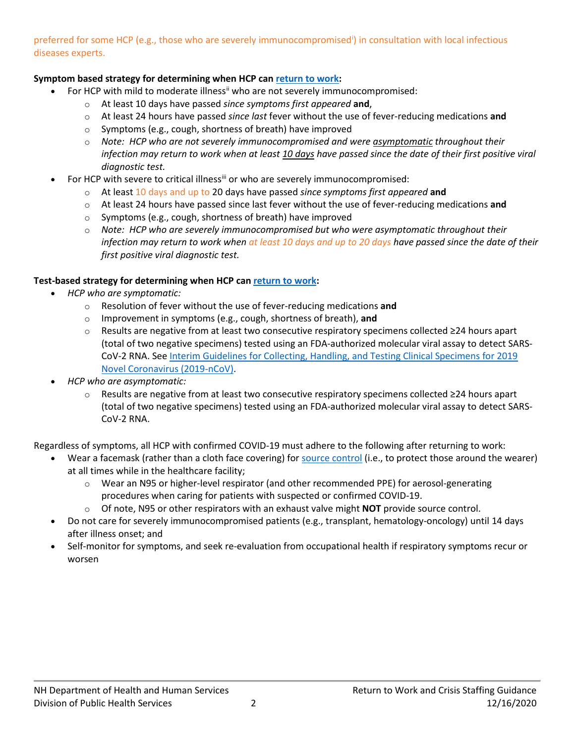preferred for some HCP (e.g., those who are severely [i](#page-3-0)mmunocompromised<sup>i</sup>) in consultation with local infectious diseases experts.

### **Symptom based strategy for determining when HCP can [return to work:](https://www.cdc.gov/coronavirus/2019-ncov/hcp/return-to-work.html)**

- For HCP with mild to moderate illness<sup>[ii](#page-3-1)</sup> who are not severely immunocompromised:
	- o At least 10 days have passed *since symptoms first appeared* **and**,
	- o At least 24 hours have passed *since last* fever without the use of fever-reducing medications **and**
	- o Symptoms (e.g., cough, shortness of breath) have improved
	- o *Note: HCP who are not severely immunocompromised and were asymptomatic throughout their infection may return to work when at least 10 days have passed since the date of their first positive viral diagnostic test.*
- For HCP with severe to critical illness<sup>iii</sup> or who are severely immunocompromised:
	- o At least 10 days and up to 20 days have passed *since symptoms first appeared* **and**
	- o At least 24 hours have passed since last fever without the use of fever-reducing medications **and**
	- o Symptoms (e.g., cough, shortness of breath) have improved
	- o *Note: HCP who are severely immunocompromised but who were asymptomatic throughout their infection may return to work when at least 10 days and up to 20 days have passed since the date of their first positive viral diagnostic test.*

### **Test-based strategy for determining when HCP can [return to work:](https://www.cdc.gov/coronavirus/2019-ncov/hcp/return-to-work.html)**

- *HCP who are symptomatic:*
	- o Resolution of fever without the use of fever-reducing medications **and**
	- o Improvement in symptoms (e.g., cough, shortness of breath), **and**
	- o Results are negative from at least two consecutive respiratory specimens collected ≥24 hours apart (total of two negative specimens) tested using an FDA-authorized molecular viral assay to detect SARS-CoV-2 RNA. Se[e Interim Guidelines for Collecting, Handling, and Testing Clinical Specimens for 2019](https://www.cdc.gov/coronavirus/2019-ncov/lab/guidelines-clinical-specimens.html)  [Novel Coronavirus \(2019-nCoV\).](https://www.cdc.gov/coronavirus/2019-ncov/lab/guidelines-clinical-specimens.html)
- *HCP who are asymptomatic:*
	- o Results are negative from at least two consecutive respiratory specimens collected ≥24 hours apart (total of two negative specimens) tested using an FDA-authorized molecular viral assay to detect SARS-CoV-2 RNA.

Regardless of symptoms, all HCP with confirmed COVID-19 must adhere to the following after returning to work:

- Wear a facemask (rather than a cloth face covering) for [source control](https://www.cdc.gov/coronavirus/2019-ncov/hcp/infection-control-recommendations.html?CDC_AA_refVal=https%3A%2F%2Fwww.cdc.gov%2Fcoronavirus%2F2019-ncov%2Finfection-control%2Fcontrol-recommendations.html) (i.e., to protect those around the wearer) at all times while in the healthcare facility;
	- o Wear an N95 or higher-level respirator (and other recommended PPE) for aerosol-generating procedures when caring for patients with suspected or confirmed COVID-19.
	- o Of note, N95 or other respirators with an exhaust valve might **NOT** provide source control.
- Do not care for severely immunocompromised patients (e.g., transplant, hematology-oncology) until 14 days after illness onset; and
- Self-monitor for symptoms, and seek re-evaluation from occupational health if respiratory symptoms recur or worsen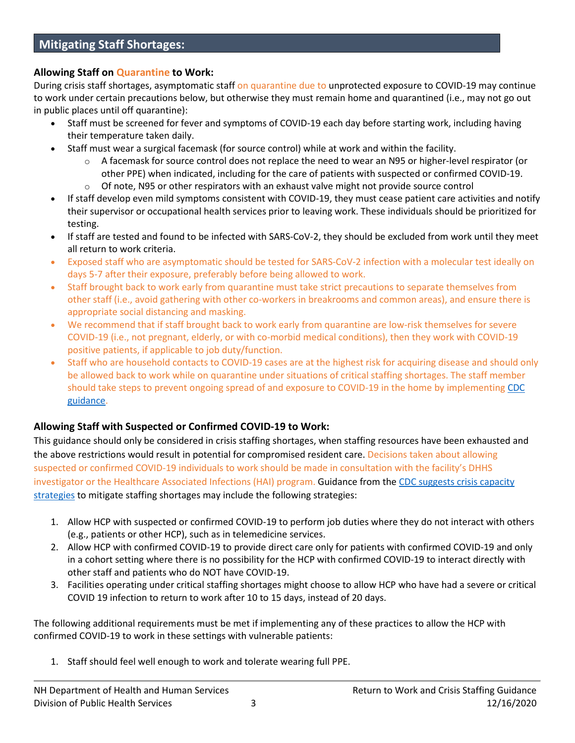## <span id="page-2-0"></span>**Mitigating Staff Shortages:**

#### **Allowing Staff on Quarantine to Work:**

During crisis staff shortages, asymptomatic staff on quarantine due to unprotected exposure to COVID-19 may continue to work under certain precautions below, but otherwise they must remain home and quarantined (i.e., may not go out in public places until off quarantine):

- Staff must be screened for fever and symptoms of COVID-19 each day before starting work, including having their temperature taken daily.
	- Staff must wear a surgical facemask (for source control) while at work and within the facility.
		- $\circ$  A facemask for source control does not replace the need to wear an N95 or higher-level respirator (or other PPE) when indicated, including for the care of patients with suspected or confirmed COVID-19.
		- $\circ$  Of note, N95 or other respirators with an exhaust valve might not provide source control
- If staff develop even mild symptoms consistent with COVID-19, they must cease patient care activities and notify their supervisor or occupational health services prior to leaving work. These individuals should be prioritized for testing.
- If staff are tested and found to be infected with SARS-CoV-2, they should be excluded from work until they meet all return to work criteria.
- Exposed staff who are asymptomatic should be tested for SARS-CoV-2 infection with a molecular test ideally on days 5-7 after their exposure, preferably before being allowed to work.
- Staff brought back to work early from quarantine must take strict precautions to separate themselves from other staff (i.e., avoid gathering with other co-workers in breakrooms and common areas), and ensure there is appropriate social distancing and masking.
- We recommend that if staff brought back to work early from quarantine are low-risk themselves for severe COVID-19 (i.e., not pregnant, elderly, or with co-morbid medical conditions), then they work with COVID-19 positive patients, if applicable to job duty/function.
- Staff who are household contacts to COVID-19 cases are at the highest risk for acquiring disease and should only be allowed back to work while on quarantine under situations of critical staffing shortages. The staff member should take steps to prevent ongoing spread of and exposure to COVID-19 in the home by implementin[g CDC](https://www.cdc.gov/coronavirus/2019-ncov/if-you-are-sick/index.html)  [guidance.](https://www.cdc.gov/coronavirus/2019-ncov/if-you-are-sick/index.html)

#### **Allowing Staff with Suspected or Confirmed COVID-19 to Work:**

This guidance should only be considered in crisis staffing shortages, when staffing resources have been exhausted and the above restrictions would result in potential for compromised resident care. Decisions taken about allowing suspected or confirmed COVID-19 individuals to work should be made in consultation with the facility's DHHS investigator or the Healthcare Associated Infections (HAI) program. Guidance from the [CDC suggests crisis capacity](https://www.cdc.gov/coronavirus/2019-ncov/hcp/mitigating-staff-shortages.html)  [strategies](https://www.cdc.gov/coronavirus/2019-ncov/hcp/mitigating-staff-shortages.html) to mitigate staffing shortages may include the following strategies:

- 1. Allow HCP with suspected or confirmed COVID-19 to perform job duties where they do not interact with others (e.g., patients or other HCP), such as in telemedicine services.
- 2. Allow HCP with confirmed COVID-19 to provide direct care only for patients with confirmed COVID-19 and only in a cohort setting where there is no possibility for the HCP with confirmed COVID-19 to interact directly with other staff and patients who do NOT have COVID-19.
- 3. Facilities operating under critical staffing shortages might choose to allow HCP who have had a severe or critical COVID 19 infection to return to work after 10 to 15 days, instead of 20 days.

The following additional requirements must be met if implementing any of these practices to allow the HCP with confirmed COVID-19 to work in these settings with vulnerable patients:

1. Staff should feel well enough to work and tolerate wearing full PPE.